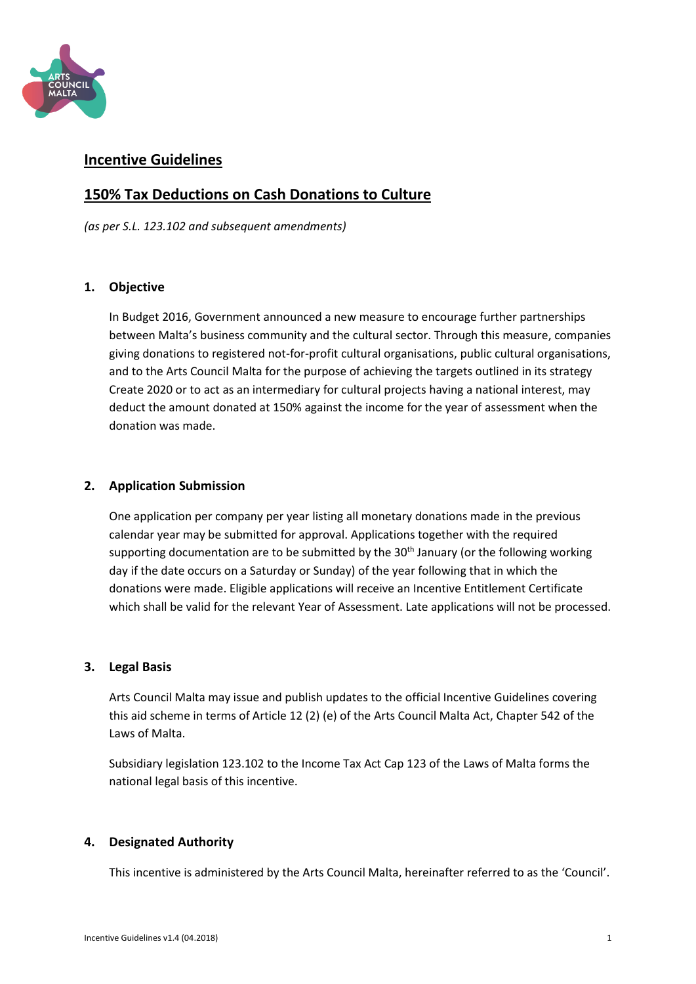

# **Incentive Guidelines**

# **150% Tax Deductions on Cash Donations to Culture**

*(as per S.L. 123.102 and subsequent amendments)*

## **1. Objective**

In Budget 2016, Government announced a new measure to encourage further partnerships between Malta's business community and the cultural sector. Through this measure, companies giving donations to registered not-for-profit cultural organisations, public cultural organisations, and to the Arts Council Malta for the purpose of achieving the targets outlined in its strategy Create 2020 or to act as an intermediary for cultural projects having a national interest, may deduct the amount donated at 150% against the income for the year of assessment when the donation was made.

### **2. Application Submission**

One application per company per year listing all monetary donations made in the previous calendar year may be submitted for approval. Applications together with the required supporting documentation are to be submitted by the  $30<sup>th</sup>$  January (or the following working day if the date occurs on a Saturday or Sunday) of the year following that in which the donations were made. Eligible applications will receive an Incentive Entitlement Certificate which shall be valid for the relevant Year of Assessment. Late applications will not be processed.

## **3. Legal Basis**

Arts Council Malta may issue and publish updates to the official Incentive Guidelines covering this aid scheme in terms of Article 12 (2) (e) of the Arts Council Malta Act, Chapter 542 of the Laws of Malta.

Subsidiary legislation 123.102 to the Income Tax Act Cap 123 of the Laws of Malta forms the national legal basis of this incentive.

## **4. Designated Authority**

This incentive is administered by the Arts Council Malta, hereinafter referred to as the 'Council'.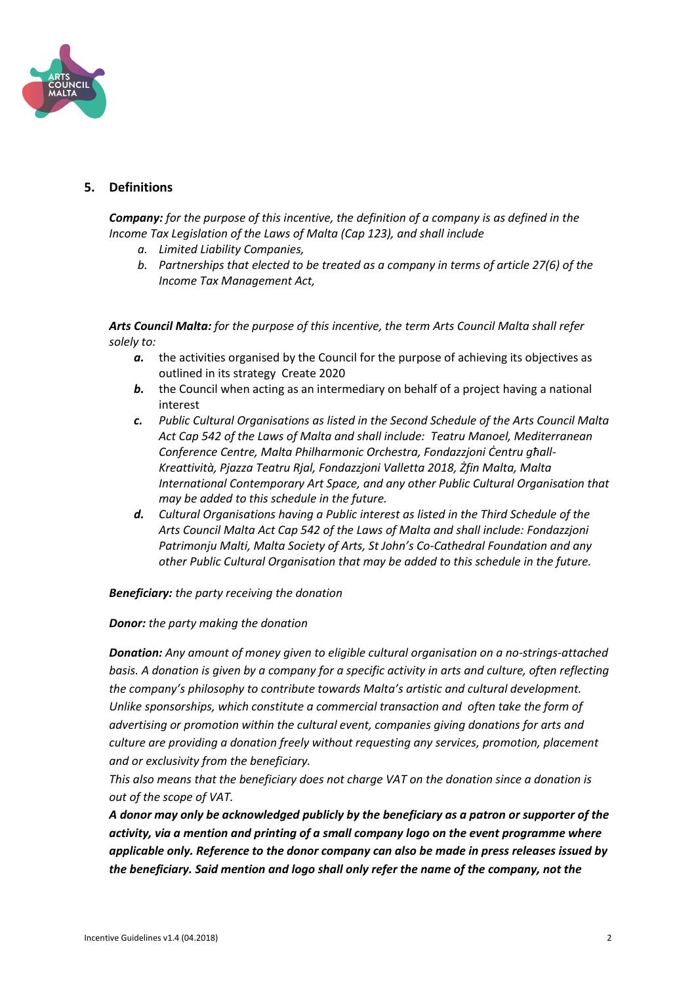

## **5. Definitions**

**Company:** for the purpose of this incentive, the definition of a company is as defined in the *Income Tax Legislation of the Laws of Malta (Cap 123), and shall include* 

- *a. Limited Liability Companies,*
- *b. Partnerships that elected to be treated as a company in terms of article 27(6) of the Income Tax Management Act,*

*Arts Council Malta: for the purpose of this incentive, the term Arts Council Malta shall refer solely to:*

- *a.* the activities organised by the Council for the purpose of achieving its objectives as outlined in its strategy Create 2020
- **b.** the Council when acting as an intermediary on behalf of a project having a national interest
- *c. Public Cultural Organisations as listed in the Second Schedule of the Arts Council Malta Act Cap 542 of the Laws of Malta and shall include: Teatru Manoel, Mediterranean Conference Centre, Malta Philharmonic Orchestra, Fondazzjoni Ċentru għall-Kreattività, Pjazza Teatru Rjal, Fondazzjoni Valletta 2018, Żfin Malta, Malta International Contemporary Art Space, and any other Public Cultural Organisation that may be added to this schedule in the future.*
- *d. Cultural Organisations having a Public interest as listed in the Third Schedule of the Arts Council Malta Act Cap 542 of the Laws of Malta and shall include: Fondazzjoni Patrimonju Malti, Malta Society of Arts, St John's Co-Cathedral Foundation and any other Public Cultural Organisation that may be added to this schedule in the future.*

#### *Beneficiary: the party receiving the donation*

#### *Donor: the party making the donation*

*Donation: Any amount of money given to eligible cultural organisation on a no-strings-attached basis. A donation is given by a company for a specific activity in arts and culture, often reflecting the company's philosophy to contribute towards Malta's artistic and cultural development. Unlike sponsorships, which constitute a commercial transaction and often take the form of advertising or promotion within the cultural event, companies giving donations for arts and culture are providing a donation freely without requesting any services, promotion, placement and or exclusivity from the beneficiary.* 

*This also means that the beneficiary does not charge VAT on the donation since a donation is out of the scope of VAT.*

*A donor may only be acknowledged publicly by the beneficiary as a patron or supporter of the activity, via a mention and printing of a small company logo on the event programme where applicable only. Reference to the donor company can also be made in press releases issued by the beneficiary. Said mention and logo shall only refer the name of the company, not the*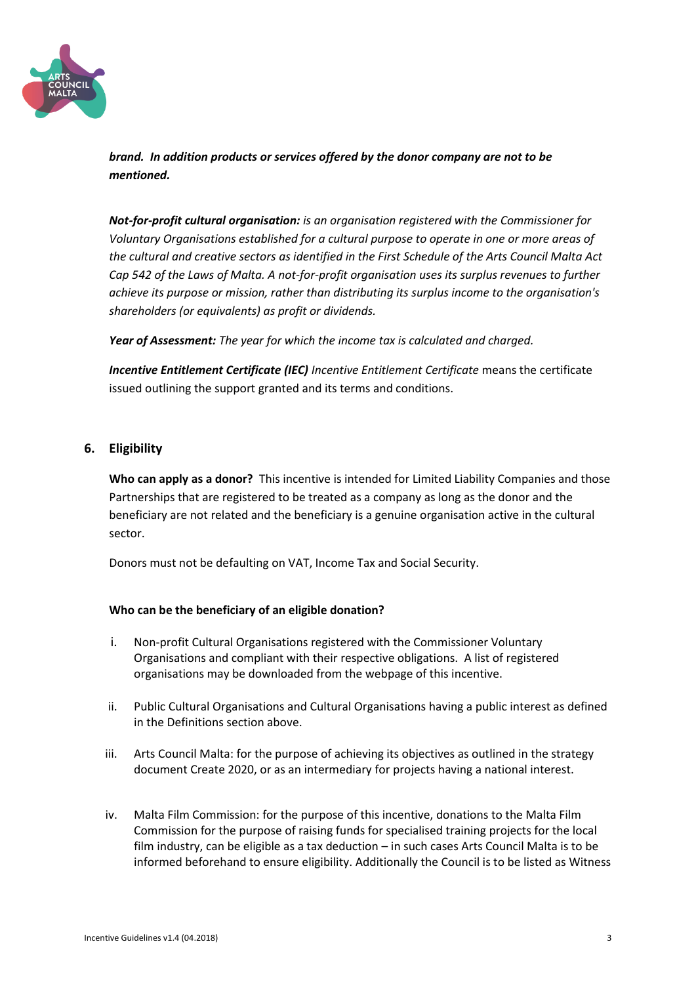

*brand. In addition products or services offered by the donor company are not to be mentioned.*

*Not-for-profit cultural organisation: is an organisation registered with the Commissioner for Voluntary Organisations established for a cultural purpose to operate in one or more areas of the cultural and creative sectors as identified in the First Schedule of the Arts Council Malta Act Cap 542 of the Laws of Malta. A not-for-profit organisation uses its surplus revenues to further achieve its purpose or mission, rather than distributing its surplus income to the organisation's shareholders (or equivalents) as profit or dividends.*

*Year of Assessment: The year for which the income tax is calculated and charged.*

*Incentive Entitlement Certificate (IEC) Incentive Entitlement Certificate* means the certificate issued outlining the support granted and its terms and conditions.

### **6. Eligibility**

**Who can apply as a donor?** This incentive is intended for Limited Liability Companies and those Partnerships that are registered to be treated as a company as long as the donor and the beneficiary are not related and the beneficiary is a genuine organisation active in the cultural sector.

Donors must not be defaulting on VAT, Income Tax and Social Security.

#### **Who can be the beneficiary of an eligible donation?**

- i. Non-profit Cultural Organisations registered with the Commissioner Voluntary Organisations and compliant with their respective obligations. A list of registered organisations may be downloaded from the webpage of this incentive.
- ii. Public Cultural Organisations and Cultural Organisations having a public interest as defined in the Definitions section above.
- iii. Arts Council Malta: for the purpose of achieving its objectives as outlined in the strategy document Create 2020, or as an intermediary for projects having a national interest.
- iv. Malta Film Commission: for the purpose of this incentive, donations to the Malta Film Commission for the purpose of raising funds for specialised training projects for the local film industry, can be eligible as a tax deduction – in such cases Arts Council Malta is to be informed beforehand to ensure eligibility. Additionally the Council is to be listed as Witness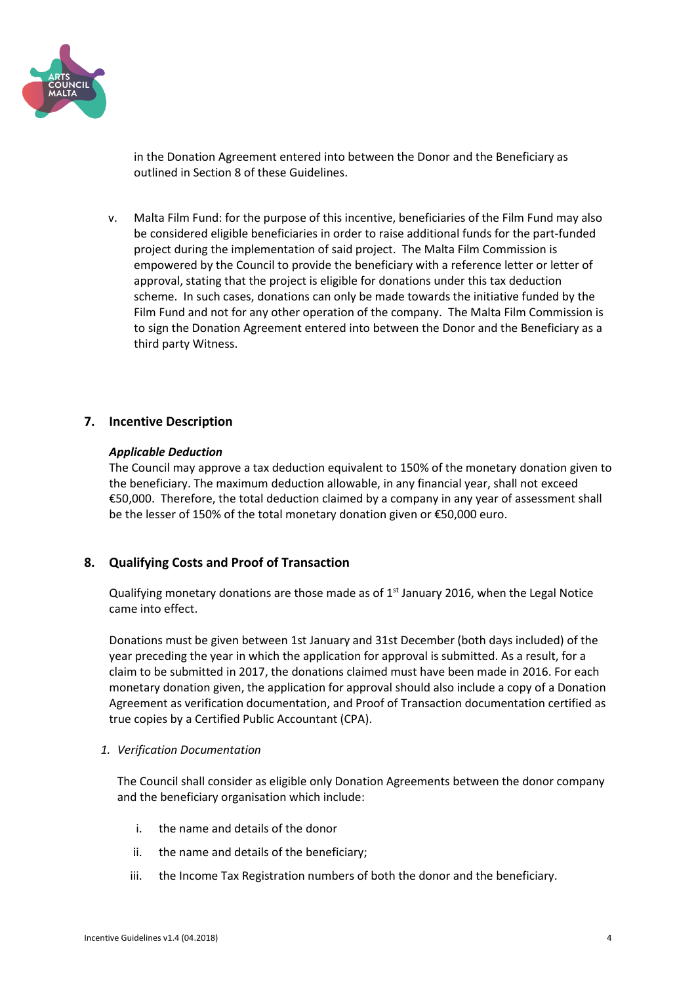

in the Donation Agreement entered into between the Donor and the Beneficiary as outlined in Section 8 of these Guidelines.

v. Malta Film Fund: for the purpose of this incentive, beneficiaries of the Film Fund may also be considered eligible beneficiaries in order to raise additional funds for the part-funded project during the implementation of said project. The Malta Film Commission is empowered by the Council to provide the beneficiary with a reference letter or letter of approval, stating that the project is eligible for donations under this tax deduction scheme. In such cases, donations can only be made towards the initiative funded by the Film Fund and not for any other operation of the company. The Malta Film Commission is to sign the Donation Agreement entered into between the Donor and the Beneficiary as a third party Witness.

### **7. Incentive Description**

#### *Applicable Deduction*

The Council may approve a tax deduction equivalent to 150% of the monetary donation given to the beneficiary. The maximum deduction allowable, in any financial year, shall not exceed €50,000. Therefore, the total deduction claimed by a company in any year of assessment shall be the lesser of 150% of the total monetary donation given or €50,000 euro.

## **8. Qualifying Costs and Proof of Transaction**

Qualifying monetary donations are those made as of  $1<sup>st</sup>$  January 2016, when the Legal Notice came into effect.

Donations must be given between 1st January and 31st December (both days included) of the year preceding the year in which the application for approval is submitted. As a result, for a claim to be submitted in 2017, the donations claimed must have been made in 2016. For each monetary donation given, the application for approval should also include a copy of a Donation Agreement as verification documentation, and Proof of Transaction documentation certified as true copies by a Certified Public Accountant (CPA).

#### *1. Verification Documentation*

The Council shall consider as eligible only Donation Agreements between the donor company and the beneficiary organisation which include:

- i. the name and details of the donor
- ii. the name and details of the beneficiary;
- iii. the Income Tax Registration numbers of both the donor and the beneficiary.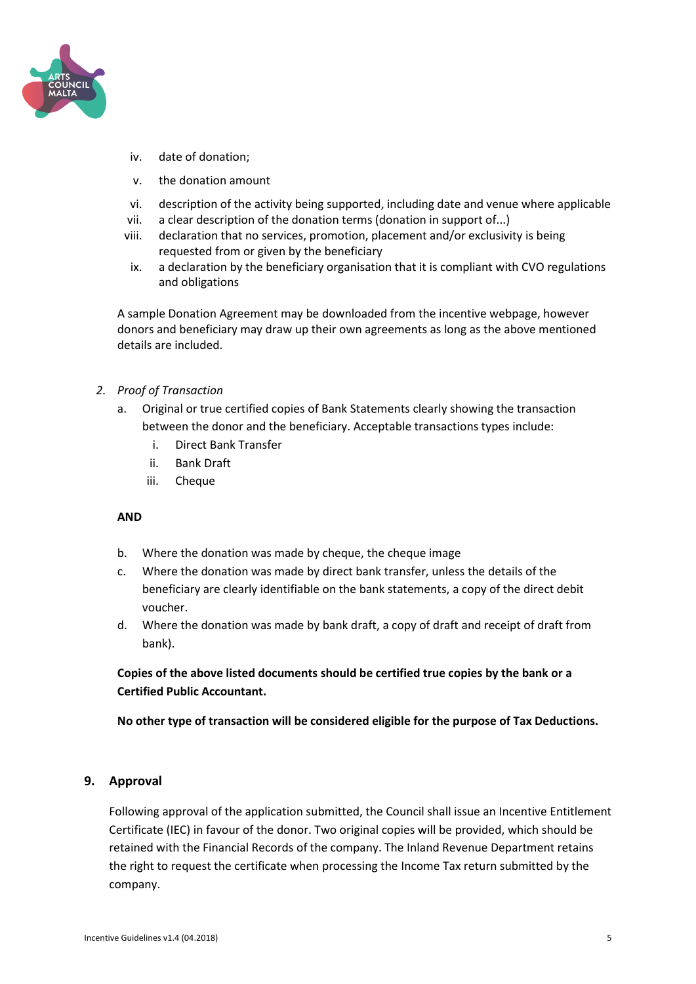

- iv. date of donation;
- v. the donation amount
- vi. description of the activity being supported, including date and venue where applicable
- vii. a clear description of the donation terms (donation in support of...)
- viii. declaration that no services, promotion, placement and/or exclusivity is being requested from or given by the beneficiary
- ix. a declaration by the beneficiary organisation that it is compliant with CVO regulations and obligations

A sample Donation Agreement may be downloaded from the incentive webpage, however donors and beneficiary may draw up their own agreements as long as the above mentioned details are included.

- *2. Proof of Transaction*
	- a. Original or true certified copies of Bank Statements clearly showing the transaction between the donor and the beneficiary. Acceptable transactions types include:
		- i. Direct Bank Transfer
		- ii. Bank Draft
		- iii. Cheque

#### **AND**

- b. Where the donation was made by cheque, the cheque image
- c. Where the donation was made by direct bank transfer, unless the details of the beneficiary are clearly identifiable on the bank statements, a copy of the direct debit voucher.
- d. Where the donation was made by bank draft, a copy of draft and receipt of draft from bank).

**Copies of the above listed documents should be certified true copies by the bank or a Certified Public Accountant.**

**No other type of transaction will be considered eligible for the purpose of Tax Deductions.** 

#### **9. Approval**

Following approval of the application submitted, the Council shall issue an Incentive Entitlement Certificate (IEC) in favour of the donor. Two original copies will be provided, which should be retained with the Financial Records of the company. The Inland Revenue Department retains the right to request the certificate when processing the Income Tax return submitted by the company.